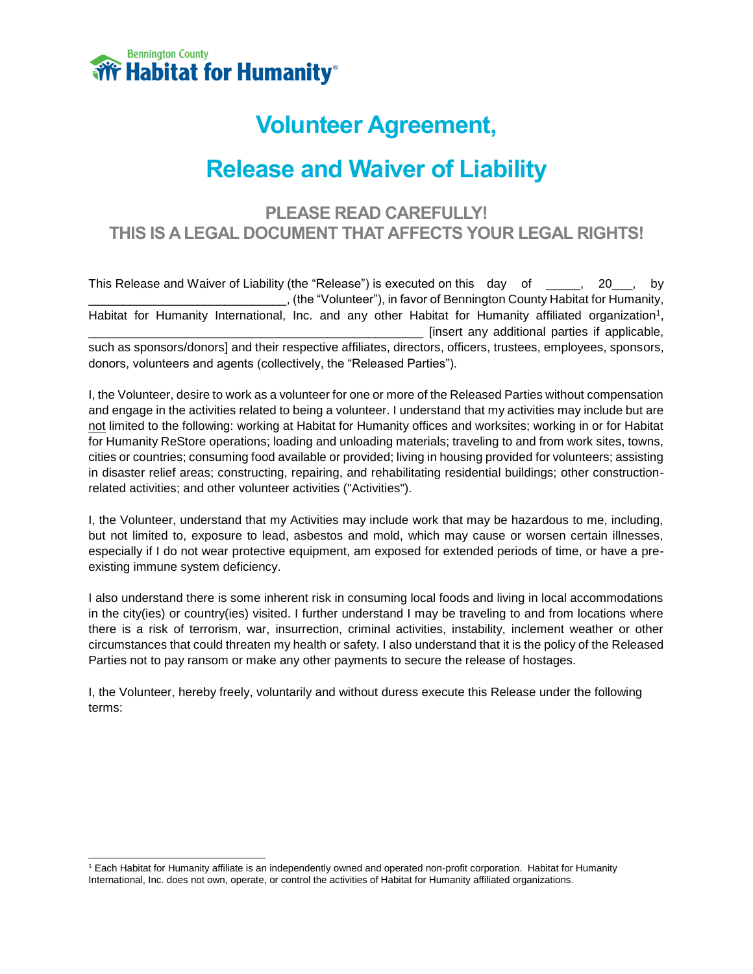

# **Volunteer Agreement,**

# **Release and Waiver of Liability**

## **PLEASE READ CAREFULLY! THIS IS A LEGAL DOCUMENT THAT AFFECTS YOUR LEGAL RIGHTS!**

This Release and Waiver of Liability (the "Release") is executed on this day of \_\_\_\_, 20\_\_, by \_\_\_\_\_\_\_\_\_\_\_\_\_\_\_\_\_\_\_\_\_\_\_\_\_\_\_\_\_, (the "Volunteer"), in favor of Bennington County Habitat for Humanity, Habitat for Humanity International, Inc. and any other Habitat for Humanity affiliated organization<sup>1</sup>, \_\_\_\_\_\_\_\_\_\_\_\_\_\_\_\_\_\_\_\_\_\_\_\_\_\_\_\_\_\_\_\_\_\_\_\_\_\_\_\_\_\_\_\_\_\_\_\_\_ [insert any additional parties if applicable, such as sponsors/donors] and their respective affiliates, directors, officers, trustees, employees, sponsors, donors, volunteers and agents (collectively, the "Released Parties").

I, the Volunteer, desire to work as a volunteer for one or more of the Released Parties without compensation and engage in the activities related to being a volunteer. I understand that my activities may include but are not limited to the following: working at Habitat for Humanity offices and worksites; working in or for Habitat for Humanity ReStore operations; loading and unloading materials; traveling to and from work sites, towns, cities or countries; consuming food available or provided; living in housing provided for volunteers; assisting in disaster relief areas; constructing, repairing, and rehabilitating residential buildings; other constructionrelated activities; and other volunteer activities ("Activities").

I, the Volunteer, understand that my Activities may include work that may be hazardous to me, including, but not limited to, exposure to lead, asbestos and mold, which may cause or worsen certain illnesses, especially if I do not wear protective equipment, am exposed for extended periods of time, or have a preexisting immune system deficiency.

I also understand there is some inherent risk in consuming local foods and living in local accommodations in the city(ies) or country(ies) visited. I further understand I may be traveling to and from locations where there is a risk of terrorism, war, insurrection, criminal activities, instability, inclement weather or other circumstances that could threaten my health or safety. I also understand that it is the policy of the Released Parties not to pay ransom or make any other payments to secure the release of hostages.

I, the Volunteer, hereby freely, voluntarily and without duress execute this Release under the following terms:

 $\overline{a}$ <sup>1</sup> Each Habitat for Humanity affiliate is an independently owned and operated non-profit corporation. Habitat for Humanity International, Inc. does not own, operate, or control the activities of Habitat for Humanity affiliated organizations.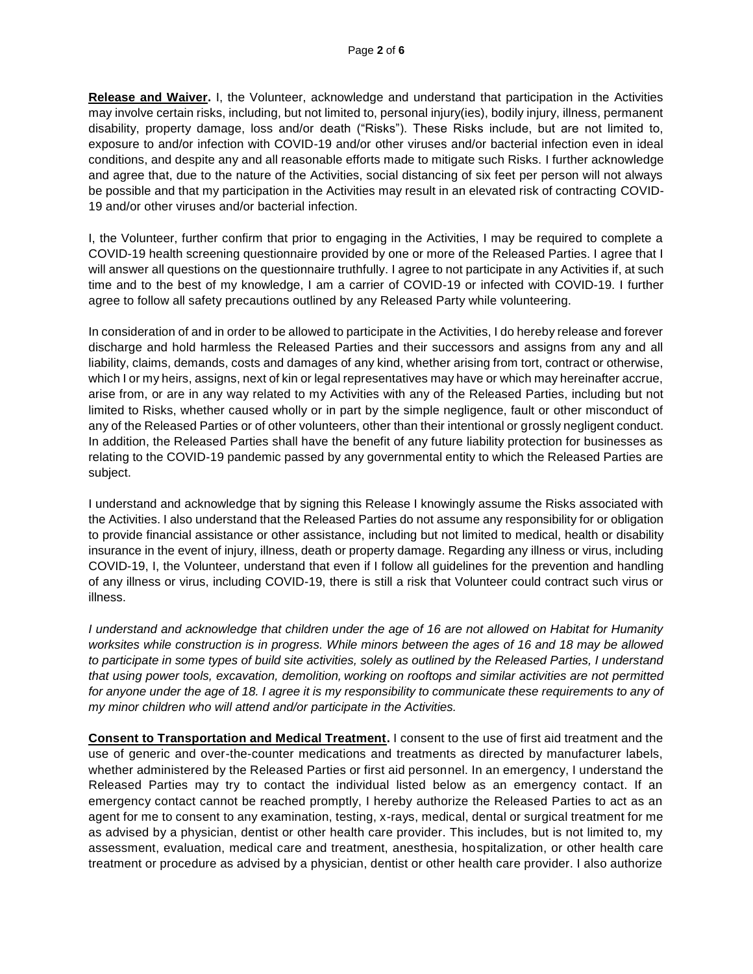**Release and Waiver.** I, the Volunteer, acknowledge and understand that participation in the Activities may involve certain risks, including, but not limited to, personal injury(ies), bodily injury, illness, permanent disability, property damage, loss and/or death ("Risks"). These Risks include, but are not limited to, exposure to and/or infection with COVID-19 and/or other viruses and/or bacterial infection even in ideal conditions, and despite any and all reasonable efforts made to mitigate such Risks. I further acknowledge and agree that, due to the nature of the Activities, social distancing of six feet per person will not always be possible and that my participation in the Activities may result in an elevated risk of contracting COVID-19 and/or other viruses and/or bacterial infection.

I, the Volunteer, further confirm that prior to engaging in the Activities, I may be required to complete a COVID-19 health screening questionnaire provided by one or more of the Released Parties. I agree that I will answer all questions on the questionnaire truthfully. I agree to not participate in any Activities if, at such time and to the best of my knowledge, I am a carrier of COVID-19 or infected with COVID-19. I further agree to follow all safety precautions outlined by any Released Party while volunteering.

In consideration of and in order to be allowed to participate in the Activities, I do hereby release and forever discharge and hold harmless the Released Parties and their successors and assigns from any and all liability, claims, demands, costs and damages of any kind, whether arising from tort, contract or otherwise, which I or my heirs, assigns, next of kin or legal representatives may have or which may hereinafter accrue, arise from, or are in any way related to my Activities with any of the Released Parties, including but not limited to Risks, whether caused wholly or in part by the simple negligence, fault or other misconduct of any of the Released Parties or of other volunteers, other than their intentional or grossly negligent conduct. In addition, the Released Parties shall have the benefit of any future liability protection for businesses as relating to the COVID-19 pandemic passed by any governmental entity to which the Released Parties are subject.

I understand and acknowledge that by signing this Release I knowingly assume the Risks associated with the Activities. I also understand that the Released Parties do not assume any responsibility for or obligation to provide financial assistance or other assistance, including but not limited to medical, health or disability insurance in the event of injury, illness, death or property damage. Regarding any illness or virus, including COVID-19, I, the Volunteer, understand that even if I follow all guidelines for the prevention and handling of any illness or virus, including COVID-19, there is still a risk that Volunteer could contract such virus or illness.

*I understand and acknowledge that children under the age of 16 are not allowed on Habitat for Humanity worksites while construction is in progress. While minors between the ages of 16 and 18 may be allowed to participate in some types of build site activities, solely as outlined by the Released Parties, I understand that using power tools, excavation, demolition, working on rooftops and similar activities are not permitted*  for anyone under the age of 18. I agree it is my responsibility to communicate these requirements to any of *my minor children who will attend and/or participate in the Activities.*

**Consent to Transportation and Medical Treatment.** I consent to the use of first aid treatment and the use of generic and over-the-counter medications and treatments as directed by manufacturer labels, whether administered by the Released Parties or first aid personnel. In an emergency, I understand the Released Parties may try to contact the individual listed below as an emergency contact. If an emergency contact cannot be reached promptly, I hereby authorize the Released Parties to act as an agent for me to consent to any examination, testing, x-rays, medical, dental or surgical treatment for me as advised by a physician, dentist or other health care provider. This includes, but is not limited to, my assessment, evaluation, medical care and treatment, anesthesia, hospitalization, or other health care treatment or procedure as advised by a physician, dentist or other health care provider. I also authorize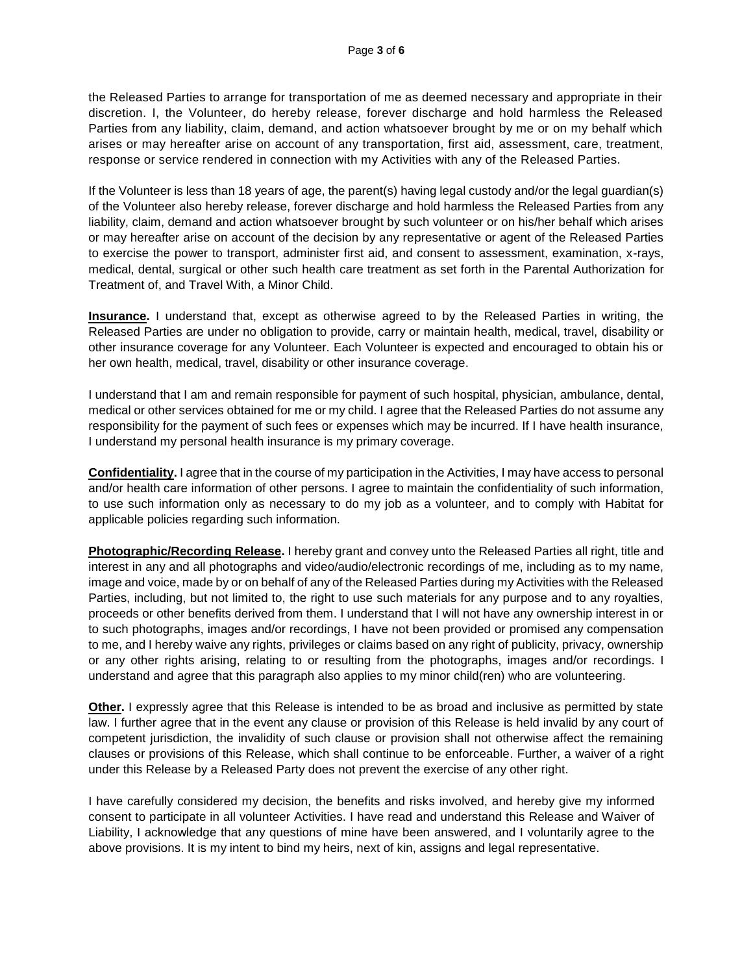the Released Parties to arrange for transportation of me as deemed necessary and appropriate in their discretion. I, the Volunteer, do hereby release, forever discharge and hold harmless the Released Parties from any liability, claim, demand, and action whatsoever brought by me or on my behalf which arises or may hereafter arise on account of any transportation, first aid, assessment, care, treatment, response or service rendered in connection with my Activities with any of the Released Parties.

If the Volunteer is less than 18 years of age, the parent(s) having legal custody and/or the legal guardian(s) of the Volunteer also hereby release, forever discharge and hold harmless the Released Parties from any liability, claim, demand and action whatsoever brought by such volunteer or on his/her behalf which arises or may hereafter arise on account of the decision by any representative or agent of the Released Parties to exercise the power to transport, administer first aid, and consent to assessment, examination, x-rays, medical, dental, surgical or other such health care treatment as set forth in the Parental Authorization for Treatment of, and Travel With, a Minor Child.

**Insurance.** I understand that, except as otherwise agreed to by the Released Parties in writing, the Released Parties are under no obligation to provide, carry or maintain health, medical, travel, disability or other insurance coverage for any Volunteer. Each Volunteer is expected and encouraged to obtain his or her own health, medical, travel, disability or other insurance coverage.

I understand that I am and remain responsible for payment of such hospital, physician, ambulance, dental, medical or other services obtained for me or my child. I agree that the Released Parties do not assume any responsibility for the payment of such fees or expenses which may be incurred. If I have health insurance, I understand my personal health insurance is my primary coverage.

**Confidentiality.** I agree that in the course of my participation in the Activities, I may have access to personal and/or health care information of other persons. I agree to maintain the confidentiality of such information, to use such information only as necessary to do my job as a volunteer, and to comply with Habitat for applicable policies regarding such information.

**Photographic/Recording Release.** I hereby grant and convey unto the Released Parties all right, title and interest in any and all photographs and video/audio/electronic recordings of me, including as to my name, image and voice, made by or on behalf of any of the Released Parties during my Activities with the Released Parties, including, but not limited to, the right to use such materials for any purpose and to any royalties, proceeds or other benefits derived from them. I understand that I will not have any ownership interest in or to such photographs, images and/or recordings, I have not been provided or promised any compensation to me, and I hereby waive any rights, privileges or claims based on any right of publicity, privacy, ownership or any other rights arising, relating to or resulting from the photographs, images and/or recordings. I understand and agree that this paragraph also applies to my minor child(ren) who are volunteering.

**Other.** I expressly agree that this Release is intended to be as broad and inclusive as permitted by state law. I further agree that in the event any clause or provision of this Release is held invalid by any court of competent jurisdiction, the invalidity of such clause or provision shall not otherwise affect the remaining clauses or provisions of this Release, which shall continue to be enforceable. Further, a waiver of a right under this Release by a Released Party does not prevent the exercise of any other right.

I have carefully considered my decision, the benefits and risks involved, and hereby give my informed consent to participate in all volunteer Activities. I have read and understand this Release and Waiver of Liability, I acknowledge that any questions of mine have been answered, and I voluntarily agree to the above provisions. It is my intent to bind my heirs, next of kin, assigns and legal representative.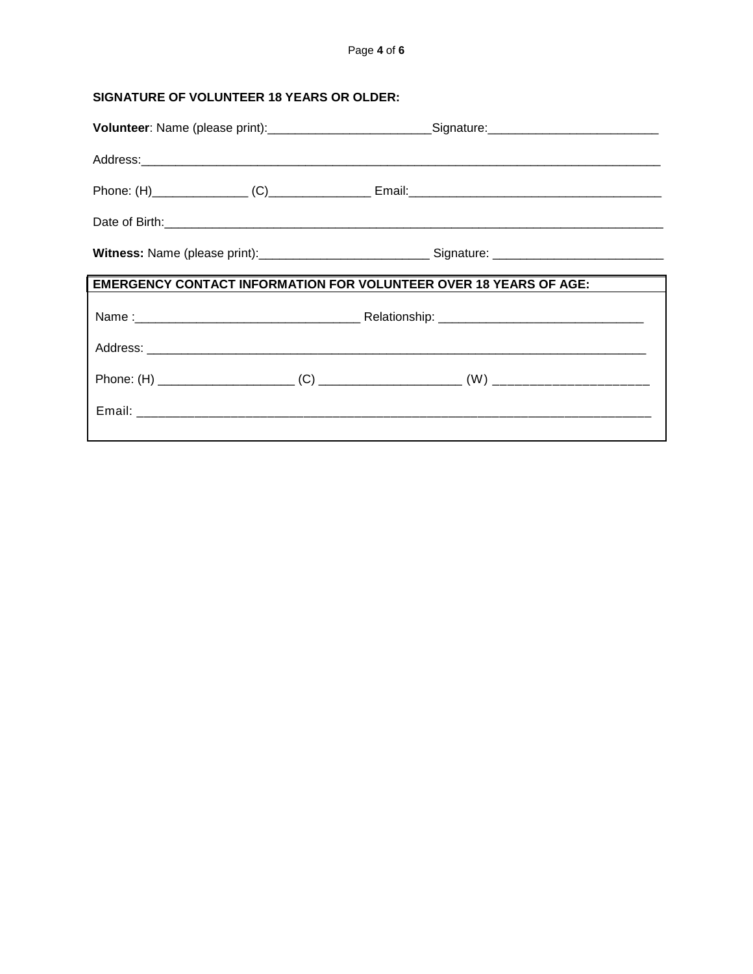| SIGNATURE OF VOLUNTEER 18 YEARS OR OLDER: |                                                                                                     |  |  |
|-------------------------------------------|-----------------------------------------------------------------------------------------------------|--|--|
|                                           | Volunteer: Name (please print):__________________________Signature:________________________________ |  |  |
|                                           |                                                                                                     |  |  |
|                                           |                                                                                                     |  |  |
|                                           |                                                                                                     |  |  |
|                                           |                                                                                                     |  |  |
|                                           | <b>EMERGENCY CONTACT INFORMATION FOR VOLUNTEER OVER 18 YEARS OF AGE:</b>                            |  |  |
|                                           |                                                                                                     |  |  |
|                                           |                                                                                                     |  |  |
|                                           |                                                                                                     |  |  |
|                                           |                                                                                                     |  |  |
|                                           |                                                                                                     |  |  |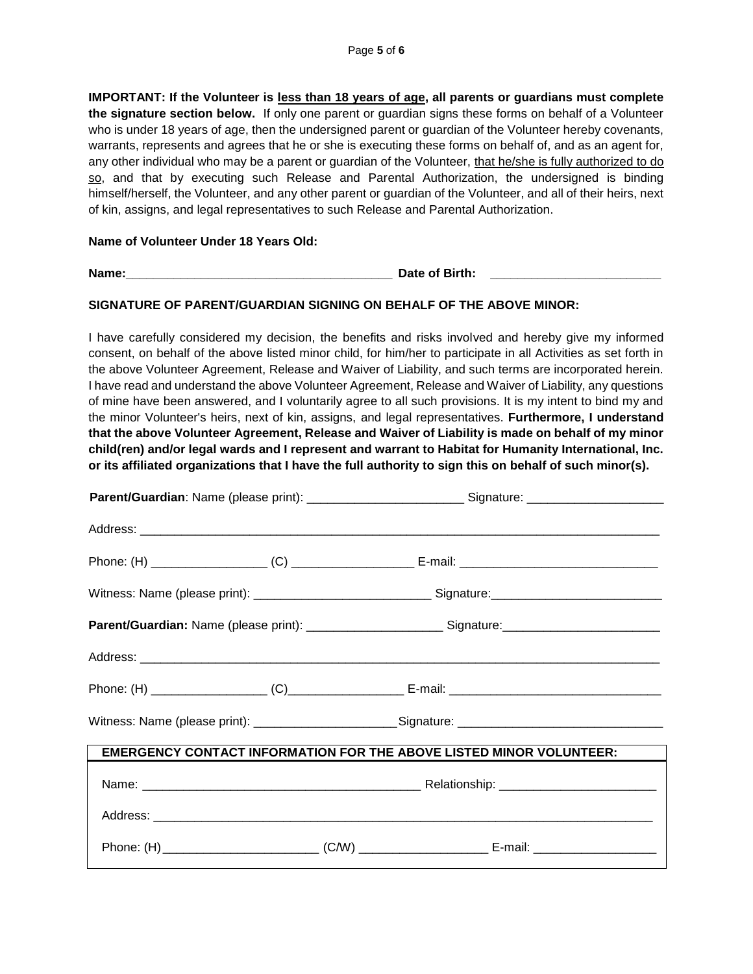**IMPORTANT: If the Volunteer is less than 18 years of age, all parents or guardians must complete the signature section below.** If only one parent or guardian signs these forms on behalf of a Volunteer who is under 18 years of age, then the undersigned parent or guardian of the Volunteer hereby covenants, warrants, represents and agrees that he or she is executing these forms on behalf of, and as an agent for, any other individual who may be a parent or guardian of the Volunteer, that he/she is fully authorized to do so, and that by executing such Release and Parental Authorization, the undersigned is binding himself/herself, the Volunteer, and any other parent or guardian of the Volunteer, and all of their heirs, next of kin, assigns, and legal representatives to such Release and Parental Authorization.

#### **Name of Volunteer Under 18 Years Old:**

**Name: Date of Birth: Date of Birth:** 

### **SIGNATURE OF PARENT/GUARDIAN SIGNING ON BEHALF OF THE ABOVE MINOR:**

I have carefully considered my decision, the benefits and risks involved and hereby give my informed consent, on behalf of the above listed minor child, for him/her to participate in all Activities as set forth in the above Volunteer Agreement, Release and Waiver of Liability, and such terms are incorporated herein. I have read and understand the above Volunteer Agreement, Release and Waiver of Liability, any questions of mine have been answered, and I voluntarily agree to all such provisions. It is my intent to bind my and the minor Volunteer's heirs, next of kin, assigns, and legal representatives. **Furthermore, I understand that the above Volunteer Agreement, Release and Waiver of Liability is made on behalf of my minor child(ren) and/or legal wards and I represent and warrant to Habitat for Humanity International, Inc. or its affiliated organizations that I have the full authority to sign this on behalf of such minor(s).**

|                                                                                                      |  | Parent/Guardian: Name (please print): _______________________________Signature: ______________________________ |  |  |
|------------------------------------------------------------------------------------------------------|--|----------------------------------------------------------------------------------------------------------------|--|--|
|                                                                                                      |  |                                                                                                                |  |  |
|                                                                                                      |  |                                                                                                                |  |  |
|                                                                                                      |  |                                                                                                                |  |  |
| Parent/Guardian: Name (please print): __________________________Signature: _________________________ |  |                                                                                                                |  |  |
|                                                                                                      |  |                                                                                                                |  |  |
|                                                                                                      |  |                                                                                                                |  |  |
| Witness: Name (please print): ________________________Signature: ___________________________________ |  |                                                                                                                |  |  |
| <b>EMERGENCY CONTACT INFORMATION FOR THE ABOVE LISTED MINOR VOLUNTEER:</b>                           |  |                                                                                                                |  |  |
|                                                                                                      |  |                                                                                                                |  |  |
|                                                                                                      |  |                                                                                                                |  |  |
|                                                                                                      |  |                                                                                                                |  |  |